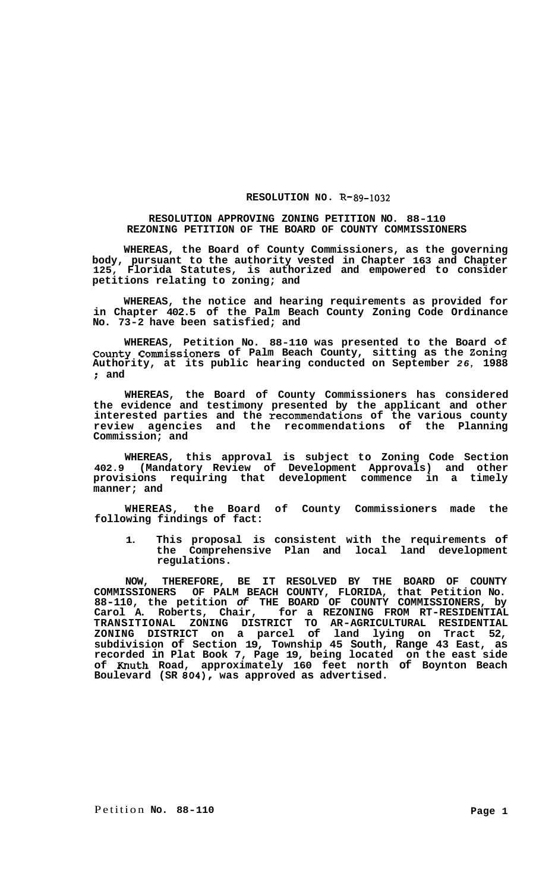## RESOLUTION NO. R-89-1032

## **RESOLUTION APPROVING ZONING PETITION NO. 88-110 REZONING PETITION OF THE BOARD OF COUNTY COMMISSIONERS**

**WHEREAS, the Board of County Commissioners, as the governing body, pursuant to the authority vested in Chapter 163 and Chapter 125, Florida Statutes, is authorized and empowered to consider petitions relating to zoning; and** 

**WHEREAS, the notice and hearing requirements as provided for in Chapter 402.5 of the Palm Beach County Zoning Code Ordinance No. 73-2 have been satisfied; and** 

**WHEREAS, Petition No. 88-110 was presented to the Board of County Commissioners of Palm Beach County, sitting as the Zoning Authority, at its public hearing conducted on September** *26,* **1988**  ; **and** 

**WHEREAS, the Board of County Commissioners has considered the evidence and testimony presented by the applicant and other interested parties and the recommendations of the various county review agencies and the recommendations of the Planning Commission; and** 

**WHEREAS, this approval is subject to Zoning Code Section 402.9 (Mandatory Review of Development Approvals) and other provisions requiring that development commence in a timely manner; and** 

**WHEREAS, the Board of County Commissioners made the following findings of fact:** 

**1. This proposal is consistent with the requirements of the Comprehensive Plan and local land development regulations.** 

**NOW, THEREFORE, BE IT RESOLVED BY THE BOARD OF COUNTY COMMISSIONERS OF PALM BEACH COUNTY, FLORIDA, that Petition No. 88-110, the petition** *of* **THE BOARD OF COUNTY COMMISSIONERS, by Carol A. Roberts, Chair, for a REZONING FROM RT-RESIDENTIAL TRANSITIONAL ZONING DISTRICT TO AR-AGRICULTURAL RESIDENTIAL ZONING DISTRICT on a parcel of land lying on Tract 52, subdivision of Section 19, Township 45 South, Range 43 East, as recorded in Plat Book 7, Page 19, being located on the east side of Knuth Road, approximately 160 feet north of Boynton Beach Boulevard (SR 804), was approved as advertised.**